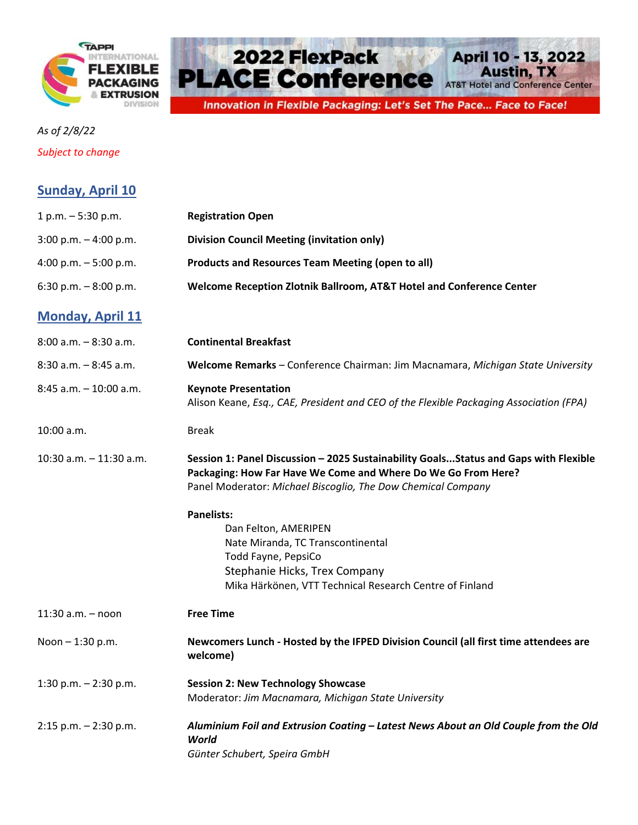



*Subject to change*

**Sunday, April 10**

| $1 p.m. - 5:30 p.m.$       | <b>Registration Open</b>                                                                                                                                                                                               |
|----------------------------|------------------------------------------------------------------------------------------------------------------------------------------------------------------------------------------------------------------------|
| $3:00$ p.m. $-4:00$ p.m.   | <b>Division Council Meeting (invitation only)</b>                                                                                                                                                                      |
| 4:00 p.m. $-5:00$ p.m.     | <b>Products and Resources Team Meeting (open to all)</b>                                                                                                                                                               |
| 6:30 p.m. $-8:00$ p.m.     | Welcome Reception Zlotnik Ballroom, AT&T Hotel and Conference Center                                                                                                                                                   |
| <b>Monday, April 11</b>    |                                                                                                                                                                                                                        |
| $8:00$ a.m. $-8:30$ a.m.   | <b>Continental Breakfast</b>                                                                                                                                                                                           |
| $8:30$ a.m. $-8:45$ a.m.   | Welcome Remarks - Conference Chairman: Jim Macnamara, Michigan State University                                                                                                                                        |
| $8:45$ a.m. $-10:00$ a.m.  | <b>Keynote Presentation</b><br>Alison Keane, Esq., CAE, President and CEO of the Flexible Packaging Association (FPA)                                                                                                  |
| 10:00 a.m.                 | <b>Break</b>                                                                                                                                                                                                           |
| $10:30$ a.m. $-11:30$ a.m. | Session 1: Panel Discussion - 2025 Sustainability Goals Status and Gaps with Flexible<br>Packaging: How Far Have We Come and Where Do We Go From Here?<br>Panel Moderator: Michael Biscoglio, The Dow Chemical Company |
|                            | <b>Panelists:</b>                                                                                                                                                                                                      |
|                            | Dan Felton, AMERIPEN                                                                                                                                                                                                   |
|                            | Nate Miranda, TC Transcontinental                                                                                                                                                                                      |
|                            | Todd Fayne, PepsiCo                                                                                                                                                                                                    |
|                            | Stephanie Hicks, Trex Company<br>Mika Härkönen, VTT Technical Research Centre of Finland                                                                                                                               |
| $11:30$ a.m. $-$ noon      | <b>Free Time</b>                                                                                                                                                                                                       |
| Noon $- 1:30$ p.m.         | Newcomers Lunch - Hosted by the IFPED Division Council (all first time attendees are<br>welcome)                                                                                                                       |
| 1:30 p.m. $- 2:30$ p.m.    | <b>Session 2: New Technology Showcase</b>                                                                                                                                                                              |
|                            | Moderator: Jim Macnamara, Michigan State University                                                                                                                                                                    |
| $2:15$ p.m. $-2:30$ p.m.   | Aluminium Foil and Extrusion Coating - Latest News About an Old Couple from the Old<br>World                                                                                                                           |
|                            | Günter Schubert, Speira GmbH                                                                                                                                                                                           |
|                            |                                                                                                                                                                                                                        |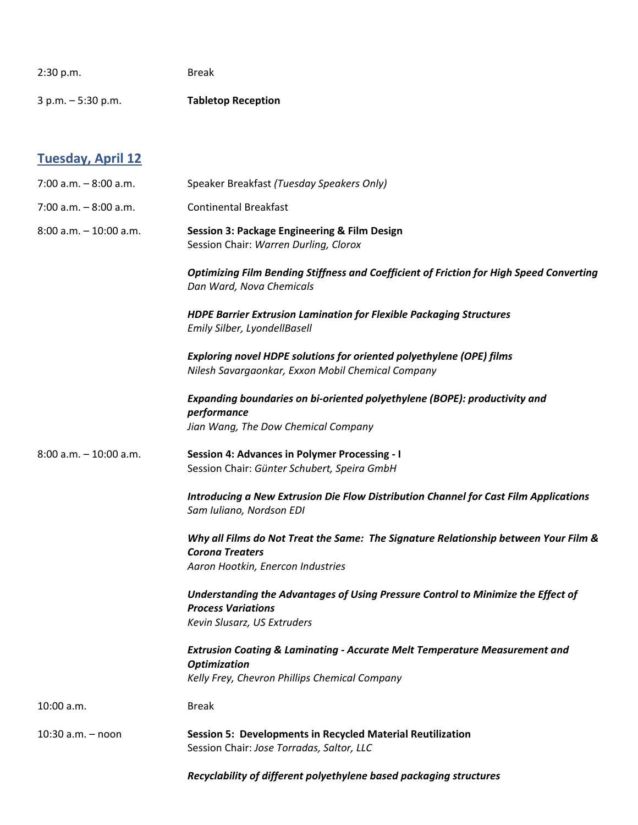| 2:30 p.m.                 | <b>Break</b>                                                                                                                                                  |
|---------------------------|---------------------------------------------------------------------------------------------------------------------------------------------------------------|
| $3 p.m. - 5:30 p.m.$      | <b>Tabletop Reception</b>                                                                                                                                     |
|                           |                                                                                                                                                               |
| <b>Tuesday, April 12</b>  |                                                                                                                                                               |
| $7:00$ a.m. $-8:00$ a.m.  | Speaker Breakfast (Tuesday Speakers Only)                                                                                                                     |
| $7:00$ a.m. $-8:00$ a.m.  | <b>Continental Breakfast</b>                                                                                                                                  |
| $8:00$ a.m. $-10:00$ a.m. | Session 3: Package Engineering & Film Design<br>Session Chair: Warren Durling, Clorox                                                                         |
|                           | <b>Optimizing Film Bending Stiffness and Coefficient of Friction for High Speed Converting</b><br>Dan Ward, Nova Chemicals                                    |
|                           | <b>HDPE Barrier Extrusion Lamination for Flexible Packaging Structures</b><br>Emily Silber, LyondellBasell                                                    |
|                           | Exploring novel HDPE solutions for oriented polyethylene (OPE) films<br>Nilesh Savargaonkar, Exxon Mobil Chemical Company                                     |
|                           | Expanding boundaries on bi-oriented polyethylene (BOPE): productivity and<br>performance<br>Jian Wang, The Dow Chemical Company                               |
| $8:00$ a.m. $-10:00$ a.m. | <b>Session 4: Advances in Polymer Processing - I</b><br>Session Chair: Günter Schubert, Speira GmbH                                                           |
|                           | Introducing a New Extrusion Die Flow Distribution Channel for Cast Film Applications<br>Sam Iuliano, Nordson EDI                                              |
|                           | Why all Films do Not Treat the Same: The Signature Relationship between Your Film &<br><b>Corona Treaters</b><br>Aaron Hootkin, Enercon Industries            |
|                           | Understanding the Advantages of Using Pressure Control to Minimize the Effect of<br><b>Process Variations</b><br>Kevin Slusarz, US Extruders                  |
|                           | <b>Extrusion Coating &amp; Laminating - Accurate Melt Temperature Measurement and</b><br><b>Optimization</b><br>Kelly Frey, Chevron Phillips Chemical Company |
| 10:00 a.m.                | <b>Break</b>                                                                                                                                                  |
| $10:30$ a.m. $-$ noon     | <b>Session 5: Developments in Recycled Material Reutilization</b><br>Session Chair: Jose Torradas, Saltor, LLC                                                |
|                           | Recyclability of different polyethylene based packaging structures                                                                                            |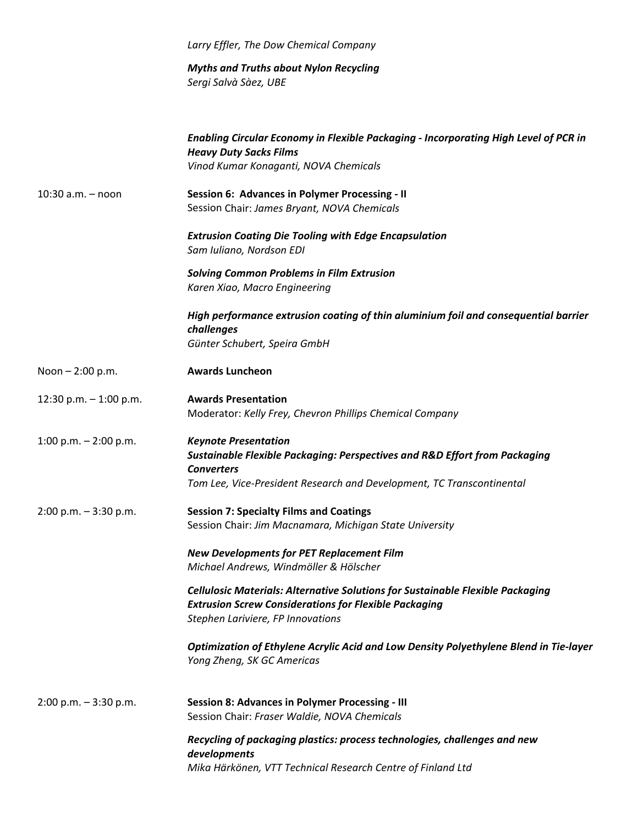|                          | Larry Effler, The Dow Chemical Company                                                                                                                                                                             |
|--------------------------|--------------------------------------------------------------------------------------------------------------------------------------------------------------------------------------------------------------------|
|                          | <b>Myths and Truths about Nylon Recycling</b><br>Sergi Salvà Sàez, UBE                                                                                                                                             |
|                          | Enabling Circular Economy in Flexible Packaging - Incorporating High Level of PCR in<br><b>Heavy Duty Sacks Films</b><br>Vinod Kumar Konaganti, NOVA Chemicals                                                     |
| $10:30$ a.m. $-$ noon    | Session 6: Advances in Polymer Processing - II<br>Session Chair: James Bryant, NOVA Chemicals                                                                                                                      |
|                          | <b>Extrusion Coating Die Tooling with Edge Encapsulation</b><br>Sam Iuliano, Nordson EDI                                                                                                                           |
|                          | <b>Solving Common Problems in Film Extrusion</b><br>Karen Xiao, Macro Engineering                                                                                                                                  |
|                          | High performance extrusion coating of thin aluminium foil and consequential barrier<br>challenges<br>Günter Schubert, Speira GmbH                                                                                  |
| Noon $- 2:00$ p.m.       | <b>Awards Luncheon</b>                                                                                                                                                                                             |
| 12:30 p.m. $-$ 1:00 p.m. | <b>Awards Presentation</b><br>Moderator: Kelly Frey, Chevron Phillips Chemical Company                                                                                                                             |
| 1:00 p.m. $- 2:00$ p.m.  | <b>Keynote Presentation</b><br><b>Sustainable Flexible Packaging: Perspectives and R&amp;D Effort from Packaging</b><br><b>Converters</b><br>Tom Lee, Vice-President Research and Development, TC Transcontinental |
| $2:00$ p.m. $-3:30$ p.m. | <b>Session 7: Specialty Films and Coatings</b><br>Session Chair: Jim Macnamara, Michigan State University                                                                                                          |
|                          | <b>New Developments for PET Replacement Film</b><br>Michael Andrews, Windmöller & Hölscher                                                                                                                         |
|                          | <b>Cellulosic Materials: Alternative Solutions for Sustainable Flexible Packaging</b><br><b>Extrusion Screw Considerations for Flexible Packaging</b><br>Stephen Lariviere, FP Innovations                         |
|                          | Optimization of Ethylene Acrylic Acid and Low Density Polyethylene Blend in Tie-layer<br>Yong Zheng, SK GC Americas                                                                                                |
| $2:00$ p.m. $-3:30$ p.m. | <b>Session 8: Advances in Polymer Processing - III</b><br>Session Chair: Fraser Waldie, NOVA Chemicals                                                                                                             |
|                          | Recycling of packaging plastics: process technologies, challenges and new<br>developments                                                                                                                          |
|                          | Mika Härkönen, VTT Technical Research Centre of Finland Ltd                                                                                                                                                        |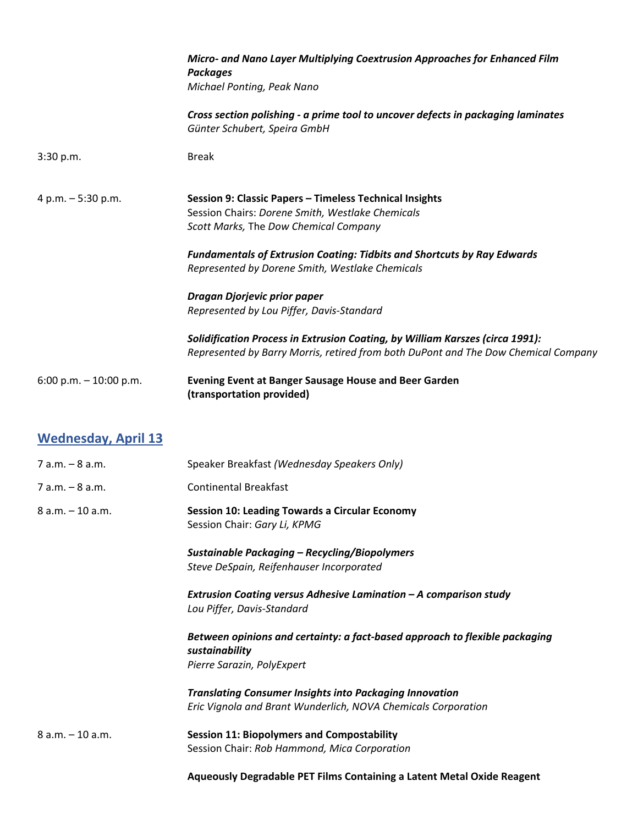|                            | Micro- and Nano Layer Multiplying Coextrusion Approaches for Enhanced Film<br><b>Packages</b><br>Michael Ponting, Peak Nano                                                                                                                                                                                                                                                                                                                                                                                                                   |
|----------------------------|-----------------------------------------------------------------------------------------------------------------------------------------------------------------------------------------------------------------------------------------------------------------------------------------------------------------------------------------------------------------------------------------------------------------------------------------------------------------------------------------------------------------------------------------------|
|                            | Cross section polishing - a prime tool to uncover defects in packaging laminates<br>Günter Schubert, Speira GmbH                                                                                                                                                                                                                                                                                                                                                                                                                              |
| 3:30 p.m.                  | <b>Break</b>                                                                                                                                                                                                                                                                                                                                                                                                                                                                                                                                  |
| 4 p.m. - 5:30 p.m.         | Session 9: Classic Papers - Timeless Technical Insights<br>Session Chairs: Dorene Smith, Westlake Chemicals<br>Scott Marks, The Dow Chemical Company<br><b>Fundamentals of Extrusion Coating: Tidbits and Shortcuts by Ray Edwards</b><br>Represented by Dorene Smith, Westlake Chemicals<br>Dragan Djorjevic prior paper<br>Represented by Lou Piffer, Davis-Standard<br>Solidification Process in Extrusion Coating, by William Karszes (circa 1991):<br>Represented by Barry Morris, retired from both DuPont and The Dow Chemical Company |
| 6:00 p.m. $-$ 10:00 p.m.   | <b>Evening Event at Banger Sausage House and Beer Garden</b><br>(transportation provided)                                                                                                                                                                                                                                                                                                                                                                                                                                                     |
| <b>Wednesday, April 13</b> |                                                                                                                                                                                                                                                                                                                                                                                                                                                                                                                                               |
| $7 a.m. - 8 a.m.$          | Speaker Breakfast (Wednesday Speakers Only)                                                                                                                                                                                                                                                                                                                                                                                                                                                                                                   |
| $7 a.m. - 8 a.m.$          | <b>Continental Breakfast</b>                                                                                                                                                                                                                                                                                                                                                                                                                                                                                                                  |

8 a.m. – 10 a.m. **Session 10: Leading Towards a Circular Economy** Session Chair: *Gary Li, KPMG*

> *Sustainable Packaging – Recycling/Biopolymers Steve DeSpain, Reifenhauser Incorporated*

*Extrusion Coating versus Adhesive Lamination – A comparison study Lou Piffer, Davis‐Standard*

*Between opinions and certainty: a fact‐based approach to flexible packaging sustainability Pierre Sarazin, PolyExpert*

*Translating Consumer Insights into Packaging Innovation Eric Vignola and Brant Wunderlich, NOVA Chemicals Corporation*

8 a.m. – 10 a.m. **Session 11: Biopolymers and Compostability** Session Chair: *Rob Hammond, Mica Corporation*

**Aqueously Degradable PET Films Containing a Latent Metal Oxide Reagent**